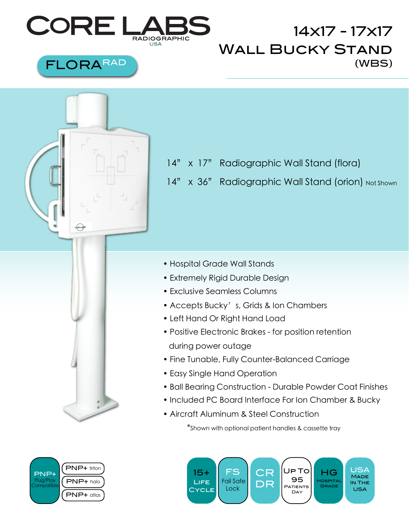

## 14x17 - 17x17 Wall Bucky Stand FLORARAD (WBS)



- 14" x 17" Radiographic Wall Stand (flora)
- 14" x 36" Radiographic Wall Stand (orion) Not Shown

- Hospital Grade Wall Stands
- Extremely Rigid Durable Design
- Exclusive Seamless Columns
- Accepts Bucky's, Grids & Ion Chambers
- Left Hand Or Right Hand Load
- Positive Electronic Brakes for position retention during power outage
- Fine Tunable, Fully Counter-Balanced Carriage
- Easy Single Hand Operation
- Ball Bearing Construction Durable Powder Coat Finishes
- Included PC Board Interface For Ion Chamber & Bucky
- Aircraft Aluminum & Steel Construction

 \*Shown with optional patient handles & cassette tray